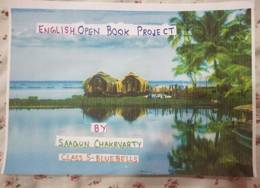## ENGLISH OPEN BOOK PRoJE CT

Report of the Company of the

ALLESIN VALLER SO

۱m

## 18Y SAAGUN CHAKRVARTY CLASS 5-BLUEBELLS

-rt

 $403 - 10$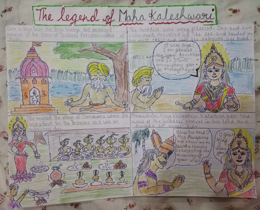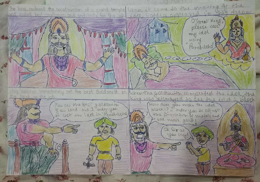